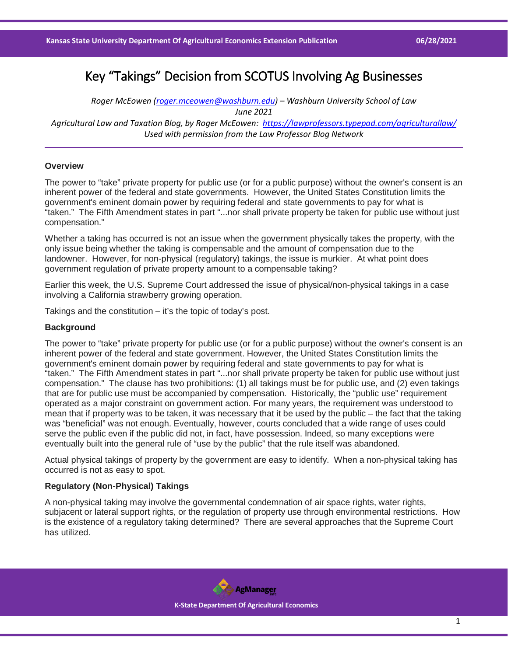# Key "Takings" Decision from SCOTUS Involving Ag Businesses

*Roger McEowen [\(roger.mceowen@washburn.edu\)](mailto:roger.mceowen@washburn.edu) – Washburn University School of Law June 2021 Agricultural Law and Taxation Blog, by Roger McEowen:<https://lawprofessors.typepad.com/agriculturallaw/> Used with permission from the Law Professor Blog Network*

#### **Overview**

The power to "take" private property for public use (or for a public purpose) without the owner's consent is an inherent power of the federal and state governments. However, the United States Constitution limits the government's eminent domain power by requiring federal and state governments to pay for what is "taken." The Fifth Amendment states in part "...nor shall private property be taken for public use without just compensation."

Whether a taking has occurred is not an issue when the government physically takes the property, with the only issue being whether the taking is compensable and the amount of compensation due to the landowner. However, for non-physical (regulatory) takings, the issue is murkier. At what point does government regulation of private property amount to a compensable taking?

Earlier this week, the U.S. Supreme Court addressed the issue of physical/non-physical takings in a case involving a California strawberry growing operation.

Takings and the constitution  $-$  it's the topic of today's post.

#### **Background**

The power to "take" private property for public use (or for a public purpose) without the owner's consent is an inherent power of the federal and state government. However, the United States Constitution limits the government's eminent domain power by requiring federal and state governments to pay for what is "taken." The Fifth Amendment states in part "...nor shall private property be taken for public use without just compensation." The clause has two prohibitions: (1) all takings must be for public use, and (2) even takings that are for public use must be accompanied by compensation. Historically, the "public use" requirement operated as a major constraint on government action. For many years, the requirement was understood to mean that if property was to be taken, it was necessary that it be used by the public – the fact that the taking was "beneficial" was not enough. Eventually, however, courts concluded that a wide range of uses could serve the public even if the public did not, in fact, have possession. Indeed, so many exceptions were eventually built into the general rule of "use by the public" that the rule itself was abandoned.

Actual physical takings of property by the government are easy to identify. When a non-physical taking has occurred is not as easy to spot.

## **Regulatory (Non-Physical) Takings**

A non-physical taking may involve the governmental condemnation of air space rights, water rights, subjacent or lateral support rights, or the regulation of property use through environmental restrictions. How is the existence of a regulatory taking determined? There are several approaches that the Supreme Court has utilized.

> **AgManager K-State Department Of Agricultural Economics**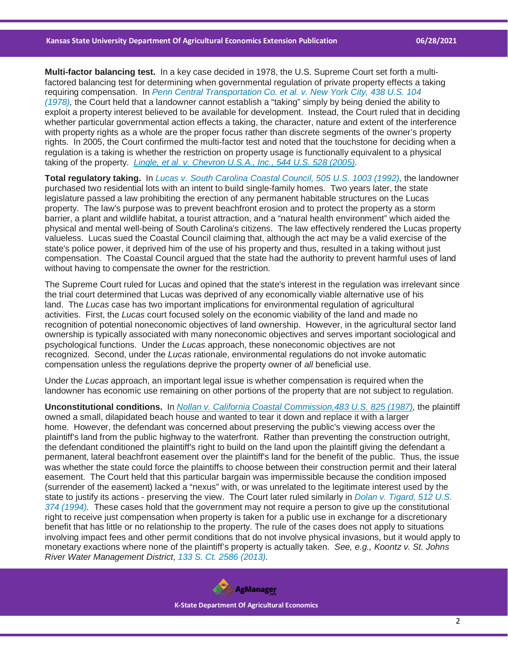**Multi-factor balancing test.** In a key case decided in 1978, the U.S. Supreme Court set forth a multifactored balancing test for determining when governmental regulation of private property effects a taking requiring compensation. In *[Penn Central Transportation Co. et al. v. New York City, 438 U.S. 104](https://casetext.com/case/penn-central-transportation-company-v-city-of-new-york?ref=ArRBZs!z0WG_X)  [\(1978\),](https://casetext.com/case/penn-central-transportation-company-v-city-of-new-york?ref=ArRBZs!z0WG_X)* the Court held that a landowner cannot establish a "taking" simply by being denied the ability to exploit a property interest believed to be available for development. Instead, the Court ruled that in deciding whether particular governmental action effects a taking, the character, nature and extent of the interference with property rights as a whole are the proper focus rather than discrete segments of the owner's property rights. In 2005, the Court confirmed the multi-factor test and noted that the touchstone for deciding when a regulation is a taking is whether the restriction on property usage is functionally equivalent to a physical taking of the property. *[Lingle, et al. v. Chevron U.S.A., Inc., 544 U.S. 528 \(2005\).](https://casetext.com/case/lingle-v-chevron-usa-inc-2?ref=ArRBZs!Mx5E29)*

**Total regulatory taking.** In *[Lucas v. South Carolina Coastal Council, 505 U.S. 1003 \(1992\),](https://casetext.com/case/lucas-v-south-carolina-coastal-council?ref=ArRBZs!hyiHMQ)* the landowner purchased two residential lots with an intent to build single-family homes. Two years later, the state legislature passed a law prohibiting the erection of any permanent habitable structures on the Lucas property. The law's purpose was to prevent beachfront erosion and to protect the property as a storm barrier, a plant and wildlife habitat, a tourist attraction, and a "natural health environment" which aided the physical and mental well-being of South Carolina's citizens. The law effectively rendered the Lucas property valueless. Lucas sued the Coastal Council claiming that, although the act may be a valid exercise of the state's police power, it deprived him of the use of his property and thus, resulted in a taking without just compensation. The Coastal Council argued that the state had the authority to prevent harmful uses of land without having to compensate the owner for the restriction.

The Supreme Court ruled for Lucas and opined that the state's interest in the regulation was irrelevant since the trial court determined that Lucas was deprived of any economically viable alternative use of his land. The *Lucas* case has two important implications for environmental regulation of agricultural activities. First, the *Lucas* court focused solely on the economic viability of the land and made no recognition of potential noneconomic objectives of land ownership. However, in the agricultural sector land ownership is typically associated with many noneconomic objectives and serves important sociological and psychological functions. Under the *Lucas* approach, these noneconomic objectives are not recognized. Second, under the *Lucas* rationale, environmental regulations do not invoke automatic compensation unless the regulations deprive the property owner of *all* beneficial use.

Under the *Lucas* approach, an important legal issue is whether compensation is required when the landowner has economic use remaining on other portions of the property that are not subject to regulation.

**Unconstitutional conditions.** In *[Nollan v. California Coastal Commission,483 U.S. 825 \(1987\),](https://casetext.com/case/nollan-v-california-coastal-commission?ref=ArRBZs!Sh2jFQ)* the plaintiff owned a small, dilapidated beach house and wanted to tear it down and replace it with a larger home. However, the defendant was concerned about preserving the public's viewing access over the plaintiff's land from the public highway to the waterfront. Rather than preventing the construction outright, the defendant conditioned the plaintiff's right to build on the land upon the plaintiff giving the defendant a permanent, lateral beachfront easement over the plaintiff's land for the benefit of the public. Thus, the issue was whether the state could force the plaintiffs to choose between their construction permit and their lateral easement. The Court held that this particular bargain was impermissible because the condition imposed (surrender of the easement) lacked a "nexus" with, or was unrelated to the legitimate interest used by the state to justify its actions - preserving the view. The Court later ruled similarly in *[Dolan v. Tigard, 512 U.S.](https://casetext.com/case/dolan-v-city-of-tigard-3?ref=ArRBZs!w-Fyyh)  [374 \(1994\).](https://casetext.com/case/dolan-v-city-of-tigard-3?ref=ArRBZs!w-Fyyh)* These cases hold that the government may not require a person to give up the constitutional right to receive just compensation when property is taken for a public use in exchange for a discretionary benefit that has little or no relationship to the property. The rule of the cases does not apply to situations involving impact fees and other permit conditions that do not involve physical invasions, but it would apply to monetary exactions where none of the plaintiff's property is actually taken. *See, e.g., Koontz v. St. Johns River Water Management District*, *[133 S. Ct. 2586 \(2013\).](https://casetext.com/case/koontz-v-st-johns-river-water?ref=ArRBZs!E64aEw)*

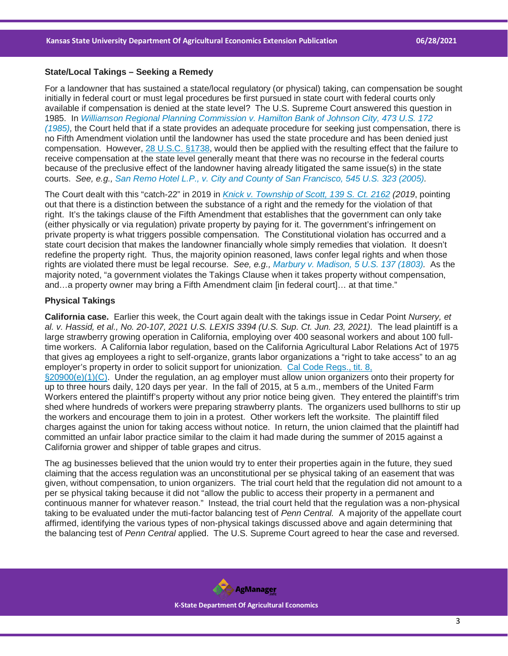### **State/Local Takings – Seeking a Remedy**

For a landowner that has sustained a state/local regulatory (or physical) taking, can compensation be sought initially in federal court or must legal procedures be first pursued in state court with federal courts only available if compensation is denied at the state level? The U.S. Supreme Court answered this question in 1985. In *[Williamson Regional Planning Commission v. Hamilton Bank of Johnson City, 473 U.S. 172](https://casetext.com/case/williamson-county-regional-planning-commission-v-hamilton-bank-of-johnson-city?ref=ArRBZs!pzLPWX)  [\(1985\),](https://casetext.com/case/williamson-county-regional-planning-commission-v-hamilton-bank-of-johnson-city?ref=ArRBZs!pzLPWX)* the Court held that if a state provides an adequate procedure for seeking just compensation, there is no Fifth Amendment violation until the landowner has used the state procedure and has been denied just compensation. However, [28 U.S.C. §1738,](https://casetext.com/statute/united-states-code/title-28-judiciary-and-judicial-procedure/part-v-procedure/chapter-115-evidence-documentary/section-1738-state-and-territorial-statutes-and-judicial-proceedings-full-faith-and-credit?ref=ArRBZs!VQ7ImL) would then be applied with the resulting effect that the failure to receive compensation at the state level generally meant that there was no recourse in the federal courts because of the preclusive effect of the landowner having already litigated the same issue(s) in the state courts. *See, e.g., [San Remo Hotel L.P., v. City and County of San Francisco, 545 U.S. 323 \(2005\).](https://casetext.com/case/san-remo-hotel-l-p-v-city-and-county-of-san-francisco?ref=ArRBZs!Y4MNVx)*

The Court dealt with this "catch-22" in 2019 in *[Knick v. Township of Scott, 139 S. Ct. 2162](https://casetext.com/case/knick-v-township-of-scott?ref=ArRBZs!d3NEKe) (2019*, pointing out that there is a distinction between the substance of a right and the remedy for the violation of that right. It's the takings clause of the Fifth Amendment that establishes that the government can only take (either physically or via regulation) private property by paying for it. The government's infringement on private property is what triggers possible compensation. The Constitutional violation has occurred and a state court decision that makes the landowner financially whole simply remedies that violation. It doesn't redefine the property right. Thus, the majority opinion reasoned, laws confer legal rights and when those rights are violated there must be legal recourse. *See, e.g., [Marbury v. Madison, 5 U.S. 137 \(1803\).](https://casetext.com/case/marbury-v-madison?ref=ArRBZs!y15-dQ)* As the majority noted, "a government violates the Takings Clause when it takes property without compensation, and…a property owner may bring a Fifth Amendment claim [in federal court]… at that time."

# **Physical Takings**

**California case.** Earlier this week, the Court again dealt with the takings issue in Cedar Point *Nursery, et al. v. Hassid, et al., No. 20-107, 2021 U.S. LEXIS 3394 (U.S. Sup. Ct. Jun. 23, 2021).* The lead plaintiff is a large strawberry growing operation in California, employing over 400 seasonal workers and about 100 fulltime workers. A California labor regulation, based on the California Agricultural Labor Relations Act of 1975 that gives ag employees a right to self-organize, grants labor organizations a "right to take access" to an ag employer's property in order to solicit support for unionization. [Cal Code Regs., tit. 8,](https://casetext.com/regulation/california-code-of-regulations/title-8-industrial-relations/division-2-agricultural-labor-relations-board/chapter-9-solicitation-by-non-employee-organizers/section-20900-solicitation-by-non-employee-organizers?ref=ArRBZs!tB5JHC)  [§20900\(e\)\(1\)\(C\).](https://casetext.com/regulation/california-code-of-regulations/title-8-industrial-relations/division-2-agricultural-labor-relations-board/chapter-9-solicitation-by-non-employee-organizers/section-20900-solicitation-by-non-employee-organizers?ref=ArRBZs!tB5JHC) Under the regulation, an ag employer must allow union organizers onto their property for up to three hours daily, 120 days per year. In the fall of 2015, at 5 a.m., members of the United Farm Workers entered the plaintiff's property without any prior notice being given. They entered the plaintiff's trim shed where hundreds of workers were preparing strawberry plants. The organizers used bullhorns to stir up the workers and encourage them to join in a protest. Other workers left the worksite. The plaintiff filed charges against the union for taking access without notice. In return, the union claimed that the plaintiff had committed an unfair labor practice similar to the claim it had made during the summer of 2015 against a California grower and shipper of table grapes and citrus.

The ag businesses believed that the union would try to enter their properties again in the future, they sued claiming that the access regulation was an unconstitutional per se physical taking of an easement that was given, without compensation, to union organizers. The trial court held that the regulation did not amount to a per se physical taking because it did not "allow the public to access their property in a permanent and continuous manner for whatever reason." Instead, the trial court held that the regulation was a non-physical taking to be evaluated under the muti-factor balancing test of *Penn Central.* A majority of the appellate court affirmed, identifying the various types of non-physical takings discussed above and again determining that the balancing test of *Penn Central* applied. The U.S. Supreme Court agreed to hear the case and reversed.